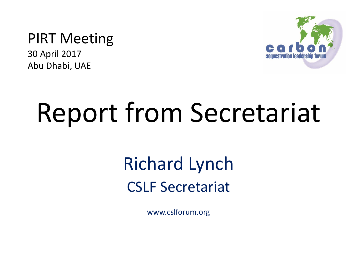#### PIRT Meeting

30 April 2017 Abu Dhabi, UAE



# Report from Secretariat

### Richard Lynch CSLF Secretariat

www.cslforum.org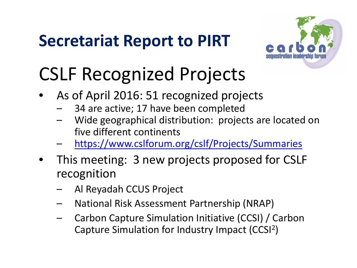

### CSLF Recognized Projects

- As of April 2016: 51 recognized projects
	- 34 are active; 17 have been completed
	- Wide geographical distribution: projects are located on five different continents
	- <https://www.cslforum.org/cslf/Projects/Summaries>
- This meeting: 3 new projects proposed for CSLF recognition
	- Al Reyadah CCUS Project
	- National Risk Assessment Partnership (NRAP)
	- Carbon Capture Simulation Initiative (CCSI) / Carbon Capture Simulation for Industry Impact (CCSI2)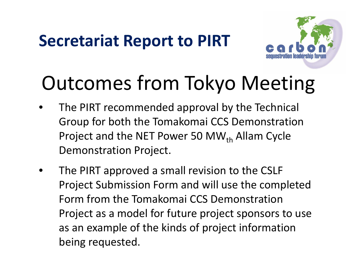

## Outcomes from Tokyo Meeting

- The PIRT recommended approval by the Technical Group for both the Tomakomai CCS Demonstration Project and the NET Power 50 MW $_{th}$  Allam Cycle Demonstration Project.
- The PIRT approved a small revision to the CSLF Project Submission Form and will use the completed Form from the Tomakomai CCS Demonstration Project as a model for future project sponsors to use as an example of the kinds of project information being requested.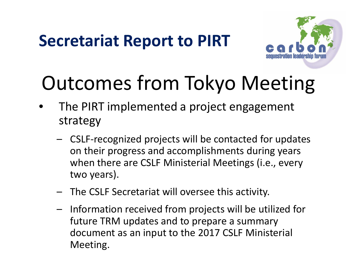

## Outcomes from Tokyo Meeting

- The PIRT implemented a project engagement strategy
	- CSLF-recognized projects will be contacted for updates on their progress and accomplishments during years when there are CSLF Ministerial Meetings (i.e., every two years).
	- The CSLF Secretariat will oversee this activity.
	- Information received from projects will be utilized for future TRM updates and to prepare a summary document as an input to the 2017 CSLF Ministerial Meeting.